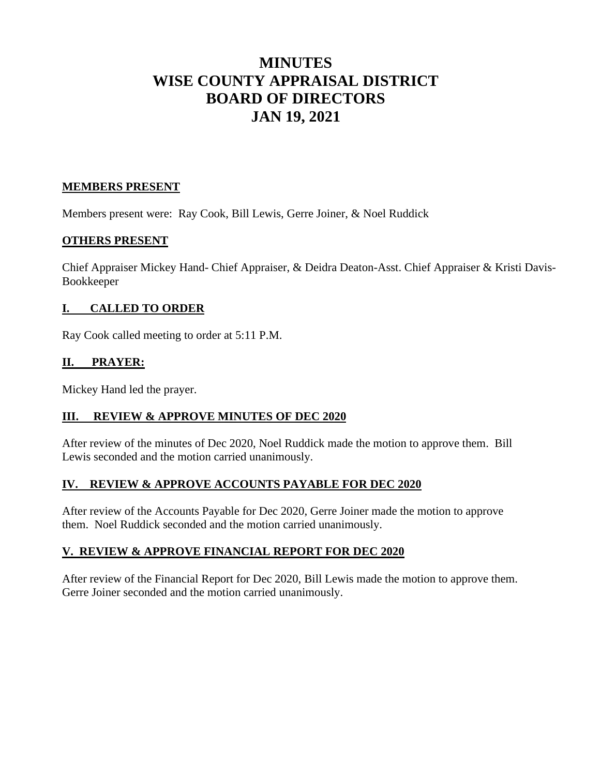# **MINUTES WISE COUNTY APPRAISAL DISTRICT BOARD OF DIRECTORS JAN 19, 2021**

### **MEMBERS PRESENT**

Members present were: Ray Cook, Bill Lewis, Gerre Joiner, & Noel Ruddick

### **OTHERS PRESENT**

Chief Appraiser Mickey Hand- Chief Appraiser, & Deidra Deaton-Asst. Chief Appraiser & Kristi Davis-Bookkeeper

### **I. CALLED TO ORDER**

Ray Cook called meeting to order at 5:11 P.M.

### **II. PRAYER:**

Mickey Hand led the prayer.

#### **III. REVIEW & APPROVE MINUTES OF DEC 2020**

After review of the minutes of Dec 2020, Noel Ruddick made the motion to approve them. Bill Lewis seconded and the motion carried unanimously.

# **IV. REVIEW & APPROVE ACCOUNTS PAYABLE FOR DEC 2020**

After review of the Accounts Payable for Dec 2020, Gerre Joiner made the motion to approve them. Noel Ruddick seconded and the motion carried unanimously.

#### **V. REVIEW & APPROVE FINANCIAL REPORT FOR DEC 2020**

After review of the Financial Report for Dec 2020, Bill Lewis made the motion to approve them. Gerre Joiner seconded and the motion carried unanimously.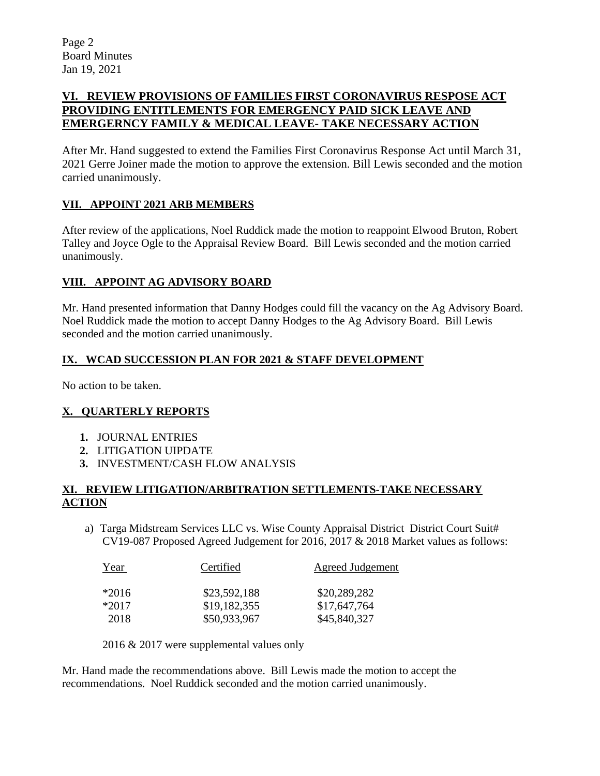# **VI. REVIEW PROVISIONS OF FAMILIES FIRST CORONAVIRUS RESPOSE ACT PROVIDING ENTITLEMENTS FOR EMERGENCY PAID SICK LEAVE AND EMERGERNCY FAMILY & MEDICAL LEAVE- TAKE NECESSARY ACTION**

After Mr. Hand suggested to extend the Families First Coronavirus Response Act until March 31, 2021 Gerre Joiner made the motion to approve the extension. Bill Lewis seconded and the motion carried unanimously.

# **VII. APPOINT 2021 ARB MEMBERS**

After review of the applications, Noel Ruddick made the motion to reappoint Elwood Bruton, Robert Talley and Joyce Ogle to the Appraisal Review Board. Bill Lewis seconded and the motion carried unanimously.

# **VIII. APPOINT AG ADVISORY BOARD**

Mr. Hand presented information that Danny Hodges could fill the vacancy on the Ag Advisory Board. Noel Ruddick made the motion to accept Danny Hodges to the Ag Advisory Board. Bill Lewis seconded and the motion carried unanimously.

# **IX. WCAD SUCCESSION PLAN FOR 2021 & STAFF DEVELOPMENT**

No action to be taken.

# **X. QUARTERLY REPORTS**

- **1.** JOURNAL ENTRIES
- **2.** LITIGATION UIPDATE
- **3.** INVESTMENT/CASH FLOW ANALYSIS

### **XI. REVIEW LITIGATION/ARBITRATION SETTLEMENTS-TAKE NECESSARY ACTION**

a) Targa Midstream Services LLC vs. Wise County Appraisal District District Court Suit# CV19-087 Proposed Agreed Judgement for 2016, 2017 & 2018 Market values as follows:

| Year    | Certified    | <b>Agreed Judgement</b> |
|---------|--------------|-------------------------|
| $*2016$ | \$23,592,188 | \$20,289,282            |
| $*2017$ | \$19,182,355 | \$17,647,764            |
| 2018    | \$50,933,967 | \$45,840,327            |

2016 & 2017 were supplemental values only

Mr. Hand made the recommendations above. Bill Lewis made the motion to accept the recommendations. Noel Ruddick seconded and the motion carried unanimously.